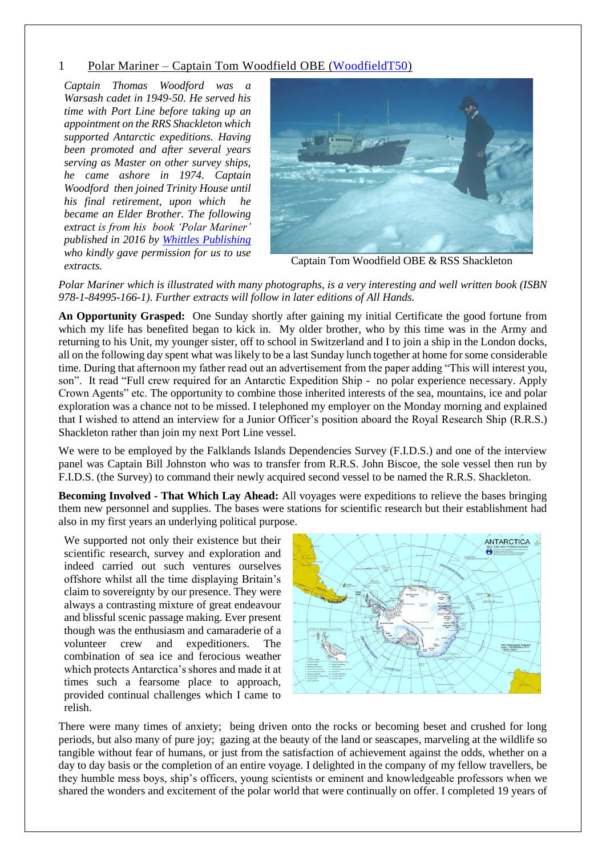## 1 Polar Mariner – Captain Tom Woodfield OBE [\(WoodfieldT50\)](https://www.warsashassociation.net/site/members/view/woodfieldt50_3.htm)

*Captain Thomas Woodford was a Warsash cadet in 1949-50. He served his time with Port Line before taking up an appointment on the RRS Shackleton which supported Antarctic expeditions. Having been promoted and after several years serving as Master on other survey ships, he came ashore in 1974. Captain Woodford then joined Trinity House until his final retirement, upon which he became an Elder Brother. The following extract is from his book 'Polar Mariner' published in 2016 by [Whittles Publishing](http://www.whittlespublishing.com/) who kindly gave permission for us to use extracts.* **Captain Tom Woodfield OBE & RSS Shackleton** *extracts.* 



*Polar Mariner which is illustrated with many photographs, is a very interesting and well written book (ISBN 978-1-84995-166-1). Further extracts will follow in later editions of All Hands.* 

**An Opportunity Grasped:** One Sunday shortly after gaining my initial Certificate the good fortune from which my life has benefited began to kick in. My older brother, who by this time was in the Army and returning to his Unit, my younger sister, off to school in Switzerland and I to join a ship in the London docks, all on the following day spent what was likely to be a last Sunday lunch together at home for some considerable time. During that afternoon my father read out an advertisement from the paper adding "This will interest you, son". It read "Full crew required for an Antarctic Expedition Ship - no polar experience necessary. Apply Crown Agents" etc. The opportunity to combine those inherited interests of the sea, mountains, ice and polar exploration was a chance not to be missed. I telephoned my employer on the Monday morning and explained that I wished to attend an interview for a Junior Officer's position aboard the Royal Research Ship (R.R.S.) Shackleton rather than join my next Port Line vessel.

We were to be employed by the Falklands Islands Dependencies Survey (F.I.D.S.) and one of the interview panel was Captain Bill Johnston who was to transfer from R.R.S. John Biscoe, the sole vessel then run by F.I.D.S. (the Survey) to command their newly acquired second vessel to be named the R.R.S. Shackleton.

**Becoming Involved - That Which Lay Ahead:** All voyages were expeditions to relieve the bases bringing them new personnel and supplies. The bases were stations for scientific research but their establishment had also in my first years an underlying political purpose.

We supported not only their existence but their scientific research, survey and exploration and indeed carried out such ventures ourselves offshore whilst all the time displaying Britain's claim to sovereignty by our presence. They were always a contrasting mixture of great endeavour and blissful scenic passage making. Ever present though was the enthusiasm and camaraderie of a volunteer crew and expeditioners. The combination of sea ice and ferocious weather which protects Antarctica's shores and made it at times such a fearsome place to approach, provided continual challenges which I came to relish.



There were many times of anxiety; being driven onto the rocks or becoming beset and crushed for long periods, but also many of pure joy; gazing at the beauty of the land or seascapes, marveling at the wildlife so tangible without fear of humans, or just from the satisfaction of achievement against the odds, whether on a day to day basis or the completion of an entire voyage. I delighted in the company of my fellow travellers, be they humble mess boys, ship's officers, young scientists or eminent and knowledgeable professors when we shared the wonders and excitement of the polar world that were continually on offer. I completed 19 years of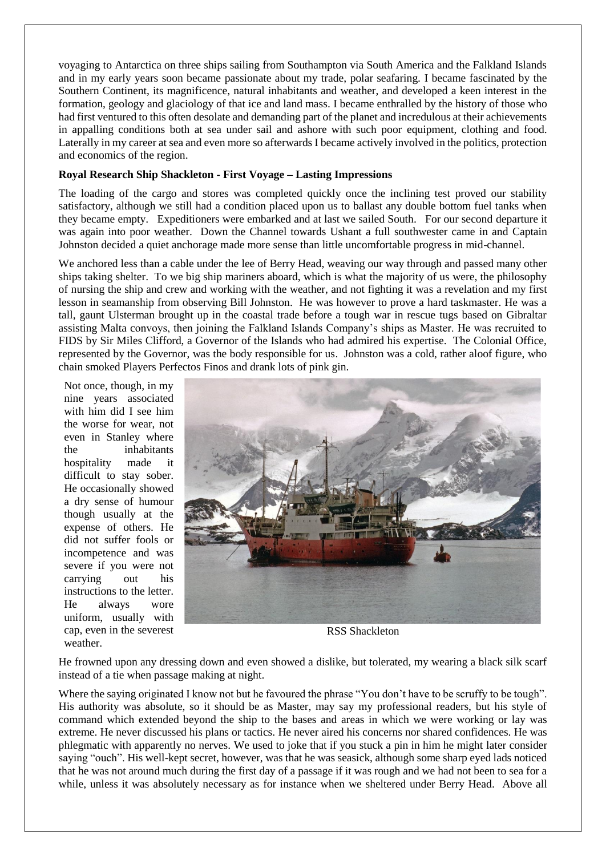voyaging to Antarctica on three ships sailing from Southampton via South America and the Falkland Islands and in my early years soon became passionate about my trade, polar seafaring. I became fascinated by the Southern Continent, its magnificence, natural inhabitants and weather, and developed a keen interest in the formation, geology and glaciology of that ice and land mass. I became enthralled by the history of those who had first ventured to this often desolate and demanding part of the planet and incredulous at their achievements in appalling conditions both at sea under sail and ashore with such poor equipment, clothing and food. Laterally in my career at sea and even more so afterwards I became actively involved in the politics, protection and economics of the region.

## **Royal Research Ship Shackleton - First Voyage – Lasting Impressions**

The loading of the cargo and stores was completed quickly once the inclining test proved our stability satisfactory, although we still had a condition placed upon us to ballast any double bottom fuel tanks when they became empty. Expeditioners were embarked and at last we sailed South. For our second departure it was again into poor weather. Down the Channel towards Ushant a full southwester came in and Captain Johnston decided a quiet anchorage made more sense than little uncomfortable progress in mid-channel.

We anchored less than a cable under the lee of Berry Head, weaving our way through and passed many other ships taking shelter. To we big ship mariners aboard, which is what the majority of us were, the philosophy of nursing the ship and crew and working with the weather, and not fighting it was a revelation and my first lesson in seamanship from observing Bill Johnston. He was however to prove a hard taskmaster. He was a tall, gaunt Ulsterman brought up in the coastal trade before a tough war in rescue tugs based on Gibraltar assisting Malta convoys, then joining the Falkland Islands Company's ships as Master. He was recruited to FIDS by Sir Miles Clifford, a Governor of the Islands who had admired his expertise. The Colonial Office, represented by the Governor, was the body responsible for us. Johnston was a cold, rather aloof figure, who chain smoked Players Perfectos Finos and drank lots of pink gin.

Not once, though, in my nine years associated with him did I see him the worse for wear, not even in Stanley where the inhabitants hospitality made it difficult to stay sober. He occasionally showed a dry sense of humour though usually at the expense of others. He did not suffer fools or incompetence and was severe if you were not carrying out his instructions to the letter. He always wore uniform, usually with cap, even in the severest weather.



RSS Shackleton

He frowned upon any dressing down and even showed a dislike, but tolerated, my wearing a black silk scarf instead of a tie when passage making at night.

Where the saying originated I know not but he favoured the phrase "You don't have to be scruffy to be tough". His authority was absolute, so it should be as Master, may say my professional readers, but his style of command which extended beyond the ship to the bases and areas in which we were working or lay was extreme. He never discussed his plans or tactics. He never aired his concerns nor shared confidences. He was phlegmatic with apparently no nerves. We used to joke that if you stuck a pin in him he might later consider saying "ouch". His well-kept secret, however, was that he was seasick, although some sharp eyed lads noticed that he was not around much during the first day of a passage if it was rough and we had not been to sea for a while, unless it was absolutely necessary as for instance when we sheltered under Berry Head. Above all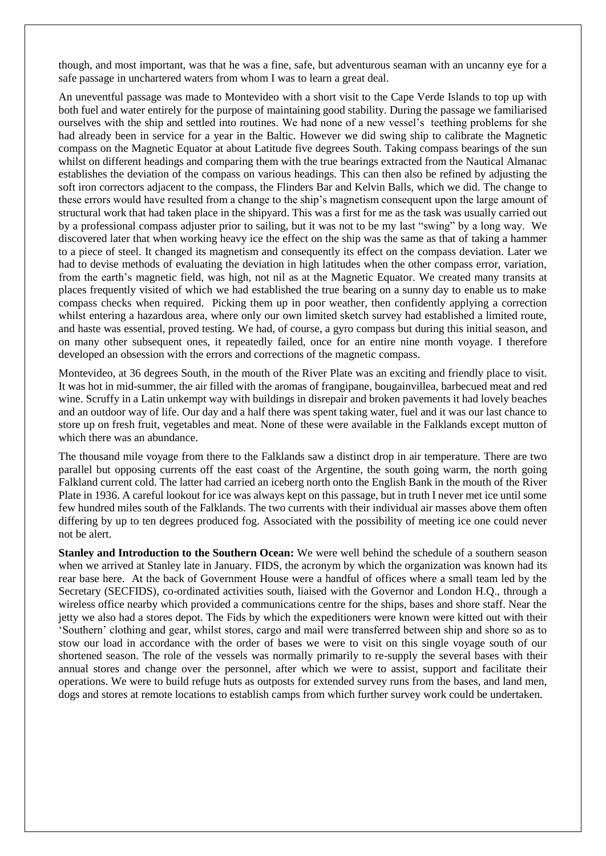though, and most important, was that he was a fine, safe, but adventurous seaman with an uncanny eye for a safe passage in unchartered waters from whom I was to learn a great deal.

An uneventful passage was made to Montevideo with a short visit to the Cape Verde Islands to top up with both fuel and water entirely for the purpose of maintaining good stability. During the passage we familiarised ourselves with the ship and settled into routines. We had none of a new vessel's teething problems for she had already been in service for a year in the Baltic. However we did swing ship to calibrate the Magnetic compass on the Magnetic Equator at about Latitude five degrees South. Taking compass bearings of the sun whilst on different headings and comparing them with the true bearings extracted from the Nautical Almanac establishes the deviation of the compass on various headings. This can then also be refined by adjusting the soft iron correctors adjacent to the compass, the Flinders Bar and Kelvin Balls, which we did. The change to these errors would have resulted from a change to the ship's magnetism consequent upon the large amount of structural work that had taken place in the shipyard. This was a first for me as the task was usually carried out by a professional compass adjuster prior to sailing, but it was not to be my last "swing" by a long way. We discovered later that when working heavy ice the effect on the ship was the same as that of taking a hammer to a piece of steel. It changed its magnetism and consequently its effect on the compass deviation. Later we had to devise methods of evaluating the deviation in high latitudes when the other compass error, variation, from the earth's magnetic field, was high, not nil as at the Magnetic Equator. We created many transits at places frequently visited of which we had established the true bearing on a sunny day to enable us to make compass checks when required. Picking them up in poor weather, then confidently applying a correction whilst entering a hazardous area, where only our own limited sketch survey had established a limited route, and haste was essential, proved testing. We had, of course, a gyro compass but during this initial season, and on many other subsequent ones, it repeatedly failed, once for an entire nine month voyage. I therefore developed an obsession with the errors and corrections of the magnetic compass.

Montevideo, at 36 degrees South, in the mouth of the River Plate was an exciting and friendly place to visit. It was hot in mid-summer, the air filled with the aromas of frangipane, bougainvillea, barbecued meat and red wine. Scruffy in a Latin unkempt way with buildings in disrepair and broken pavements it had lovely beaches and an outdoor way of life. Our day and a half there was spent taking water, fuel and it was our last chance to store up on fresh fruit, vegetables and meat. None of these were available in the Falklands except mutton of which there was an abundance.

The thousand mile voyage from there to the Falklands saw a distinct drop in air temperature. There are two parallel but opposing currents off the east coast of the Argentine, the south going warm, the north going Falkland current cold. The latter had carried an iceberg north onto the English Bank in the mouth of the River Plate in 1936. A careful lookout for ice was always kept on this passage, but in truth I never met ice until some few hundred miles south of the Falklands. The two currents with their individual air masses above them often differing by up to ten degrees produced fog. Associated with the possibility of meeting ice one could never not be alert.

**Stanley and Introduction to the Southern Ocean:** We were well behind the schedule of a southern season when we arrived at Stanley late in January. FIDS, the acronym by which the organization was known had its rear base here. At the back of Government House were a handful of offices where a small team led by the Secretary (SECFIDS), co-ordinated activities south, liaised with the Governor and London H.Q., through a wireless office nearby which provided a communications centre for the ships, bases and shore staff. Near the jetty we also had a stores depot. The Fids by which the expeditioners were known were kitted out with their 'Southern' clothing and gear, whilst stores, cargo and mail were transferred between ship and shore so as to stow our load in accordance with the order of bases we were to visit on this single voyage south of our shortened season. The role of the vessels was normally primarily to re-supply the several bases with their annual stores and change over the personnel, after which we were to assist, support and facilitate their operations. We were to build refuge huts as outposts for extended survey runs from the bases, and land men, dogs and stores at remote locations to establish camps from which further survey work could be undertaken.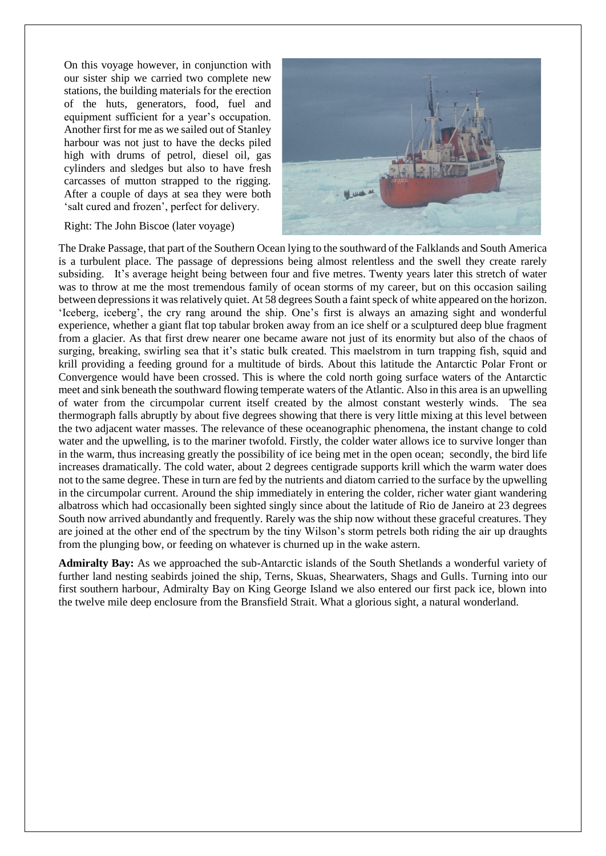On this voyage however, in conjunction with our sister ship we carried two complete new stations, the building materials for the erection of the huts, generators, food, fuel and equipment sufficient for a year's occupation. Another first for me as we sailed out of Stanley harbour was not just to have the decks piled high with drums of petrol, diesel oil, gas cylinders and sledges but also to have fresh carcasses of mutton strapped to the rigging. After a couple of days at sea they were both 'salt cured and frozen', perfect for delivery.



Right: The John Biscoe (later voyage)

The Drake Passage, that part of the Southern Ocean lying to the southward of the Falklands and South America is a turbulent place. The passage of depressions being almost relentless and the swell they create rarely subsiding. It's average height being between four and five metres. Twenty years later this stretch of water was to throw at me the most tremendous family of ocean storms of my career, but on this occasion sailing between depressions it was relatively quiet. At 58 degrees South a faint speck of white appeared on the horizon. 'Iceberg, iceberg', the cry rang around the ship. One's first is always an amazing sight and wonderful experience, whether a giant flat top tabular broken away from an ice shelf or a sculptured deep blue fragment from a glacier. As that first drew nearer one became aware not just of its enormity but also of the chaos of surging, breaking, swirling sea that it's static bulk created. This maelstrom in turn trapping fish, squid and krill providing a feeding ground for a multitude of birds. About this latitude the Antarctic Polar Front or Convergence would have been crossed. This is where the cold north going surface waters of the Antarctic meet and sink beneath the southward flowing temperate waters of the Atlantic. Also in this area is an upwelling of water from the circumpolar current itself created by the almost constant westerly winds. The sea thermograph falls abruptly by about five degrees showing that there is very little mixing at this level between the two adjacent water masses. The relevance of these oceanographic phenomena, the instant change to cold water and the upwelling, is to the mariner twofold. Firstly, the colder water allows ice to survive longer than in the warm, thus increasing greatly the possibility of ice being met in the open ocean; secondly, the bird life increases dramatically. The cold water, about 2 degrees centigrade supports krill which the warm water does not to the same degree. These in turn are fed by the nutrients and diatom carried to the surface by the upwelling in the circumpolar current. Around the ship immediately in entering the colder, richer water giant wandering albatross which had occasionally been sighted singly since about the latitude of Rio de Janeiro at 23 degrees South now arrived abundantly and frequently. Rarely was the ship now without these graceful creatures. They are joined at the other end of the spectrum by the tiny Wilson's storm petrels both riding the air up draughts from the plunging bow, or feeding on whatever is churned up in the wake astern.

**Admiralty Bay:** As we approached the sub-Antarctic islands of the South Shetlands a wonderful variety of further land nesting seabirds joined the ship, Terns, Skuas, Shearwaters, Shags and Gulls. Turning into our first southern harbour, Admiralty Bay on King George Island we also entered our first pack ice, blown into the twelve mile deep enclosure from the Bransfield Strait. What a glorious sight, a natural wonderland.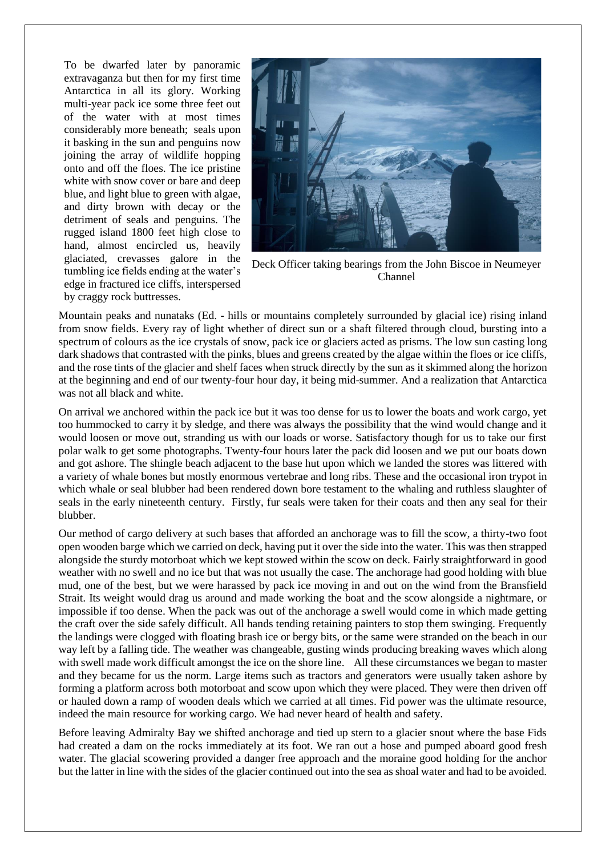To be dwarfed later by panoramic extravaganza but then for my first time Antarctica in all its glory. Working multi-year pack ice some three feet out of the water with at most times considerably more beneath; seals upon it basking in the sun and penguins now joining the array of wildlife hopping onto and off the floes. The ice pristine white with snow cover or bare and deep blue, and light blue to green with algae, and dirty brown with decay or the detriment of seals and penguins. The rugged island 1800 feet high close to hand, almost encircled us, heavily glaciated, crevasses galore in the tumbling ice fields ending at the water's edge in fractured ice cliffs, interspersed by craggy rock buttresses.



Deck Officer taking bearings from the John Biscoe in Neumeyer Channel

Mountain peaks and nunataks (Ed. - hills or mountains completely surrounded by glacial ice) rising inland from snow fields. Every ray of light whether of direct sun or a shaft filtered through cloud, bursting into a spectrum of colours as the ice crystals of snow, pack ice or glaciers acted as prisms. The low sun casting long dark shadows that contrasted with the pinks, blues and greens created by the algae within the floes or ice cliffs, and the rose tints of the glacier and shelf faces when struck directly by the sun as it skimmed along the horizon at the beginning and end of our twenty-four hour day, it being mid-summer. And a realization that Antarctica was not all black and white.

On arrival we anchored within the pack ice but it was too dense for us to lower the boats and work cargo, yet too hummocked to carry it by sledge, and there was always the possibility that the wind would change and it would loosen or move out, stranding us with our loads or worse. Satisfactory though for us to take our first polar walk to get some photographs. Twenty-four hours later the pack did loosen and we put our boats down and got ashore. The shingle beach adjacent to the base hut upon which we landed the stores was littered with a variety of whale bones but mostly enormous vertebrae and long ribs. These and the occasional iron trypot in which whale or seal blubber had been rendered down bore testament to the whaling and ruthless slaughter of seals in the early nineteenth century. Firstly, fur seals were taken for their coats and then any seal for their blubber.

Our method of cargo delivery at such bases that afforded an anchorage was to fill the scow, a thirty-two foot open wooden barge which we carried on deck, having put it over the side into the water. This was then strapped alongside the sturdy motorboat which we kept stowed within the scow on deck. Fairly straightforward in good weather with no swell and no ice but that was not usually the case. The anchorage had good holding with blue mud, one of the best, but we were harassed by pack ice moving in and out on the wind from the Bransfield Strait. Its weight would drag us around and made working the boat and the scow alongside a nightmare, or impossible if too dense. When the pack was out of the anchorage a swell would come in which made getting the craft over the side safely difficult. All hands tending retaining painters to stop them swinging. Frequently the landings were clogged with floating brash ice or bergy bits, or the same were stranded on the beach in our way left by a falling tide. The weather was changeable, gusting winds producing breaking waves which along with swell made work difficult amongst the ice on the shore line. All these circumstances we began to master and they became for us the norm. Large items such as tractors and generators were usually taken ashore by forming a platform across both motorboat and scow upon which they were placed. They were then driven off or hauled down a ramp of wooden deals which we carried at all times. Fid power was the ultimate resource, indeed the main resource for working cargo. We had never heard of health and safety.

Before leaving Admiralty Bay we shifted anchorage and tied up stern to a glacier snout where the base Fids had created a dam on the rocks immediately at its foot. We ran out a hose and pumped aboard good fresh water. The glacial scowering provided a danger free approach and the moraine good holding for the anchor but the latter in line with the sides of the glacier continued out into the sea as shoal water and had to be avoided.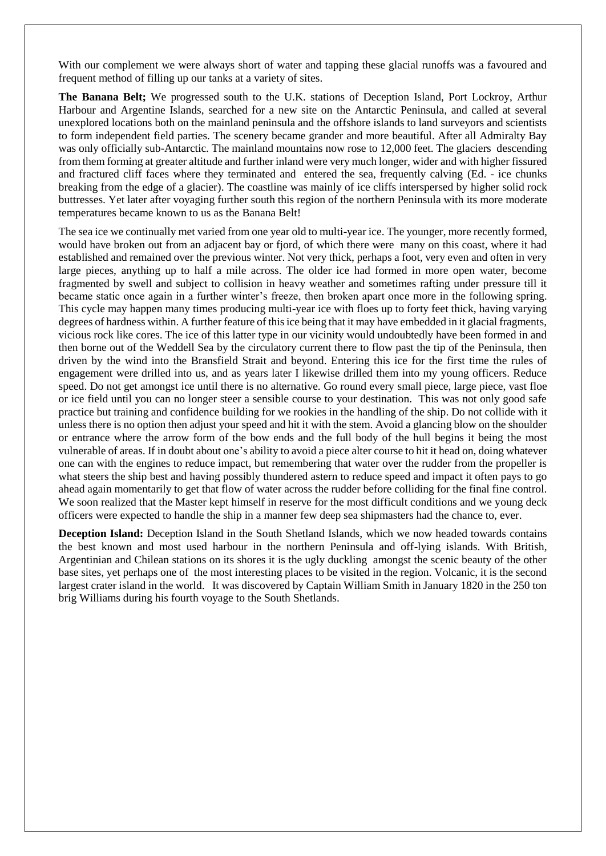With our complement we were always short of water and tapping these glacial runoffs was a favoured and frequent method of filling up our tanks at a variety of sites.

**The Banana Belt;** We progressed south to the U.K. stations of Deception Island, Port Lockroy, Arthur Harbour and Argentine Islands, searched for a new site on the Antarctic Peninsula, and called at several unexplored locations both on the mainland peninsula and the offshore islands to land surveyors and scientists to form independent field parties. The scenery became grander and more beautiful. After all Admiralty Bay was only officially sub-Antarctic. The mainland mountains now rose to 12,000 feet. The glaciers descending from them forming at greater altitude and further inland were very much longer, wider and with higher fissured and fractured cliff faces where they terminated and entered the sea, frequently calving (Ed. - ice chunks breaking from the edge of a glacier). The coastline was mainly of ice cliffs interspersed by higher solid rock buttresses. Yet later after voyaging further south this region of the northern Peninsula with its more moderate temperatures became known to us as the Banana Belt!

The sea ice we continually met varied from one year old to multi-year ice. The younger, more recently formed, would have broken out from an adjacent bay or fjord, of which there were many on this coast, where it had established and remained over the previous winter. Not very thick, perhaps a foot, very even and often in very large pieces, anything up to half a mile across. The older ice had formed in more open water, become fragmented by swell and subject to collision in heavy weather and sometimes rafting under pressure till it became static once again in a further winter's freeze, then broken apart once more in the following spring. This cycle may happen many times producing multi-year ice with floes up to forty feet thick, having varying degrees of hardness within. A further feature of this ice being that it may have embedded in it glacial fragments, vicious rock like cores. The ice of this latter type in our vicinity would undoubtedly have been formed in and then borne out of the Weddell Sea by the circulatory current there to flow past the tip of the Peninsula, then driven by the wind into the Bransfield Strait and beyond. Entering this ice for the first time the rules of engagement were drilled into us, and as years later I likewise drilled them into my young officers. Reduce speed. Do not get amongst ice until there is no alternative. Go round every small piece, large piece, vast floe or ice field until you can no longer steer a sensible course to your destination. This was not only good safe practice but training and confidence building for we rookies in the handling of the ship. Do not collide with it unless there is no option then adjust your speed and hit it with the stem. Avoid a glancing blow on the shoulder or entrance where the arrow form of the bow ends and the full body of the hull begins it being the most vulnerable of areas. If in doubt about one's ability to avoid a piece alter course to hit it head on, doing whatever one can with the engines to reduce impact, but remembering that water over the rudder from the propeller is what steers the ship best and having possibly thundered astern to reduce speed and impact it often pays to go ahead again momentarily to get that flow of water across the rudder before colliding for the final fine control. We soon realized that the Master kept himself in reserve for the most difficult conditions and we young deck officers were expected to handle the ship in a manner few deep sea shipmasters had the chance to, ever.

**Deception Island:** Deception Island in the South Shetland Islands, which we now headed towards contains the best known and most used harbour in the northern Peninsula and off-lying islands. With British, Argentinian and Chilean stations on its shores it is the ugly duckling amongst the scenic beauty of the other base sites, yet perhaps one of the most interesting places to be visited in the region. Volcanic, it is the second largest crater island in the world. It was discovered by Captain William Smith in January 1820 in the 250 ton brig Williams during his fourth voyage to the South Shetlands.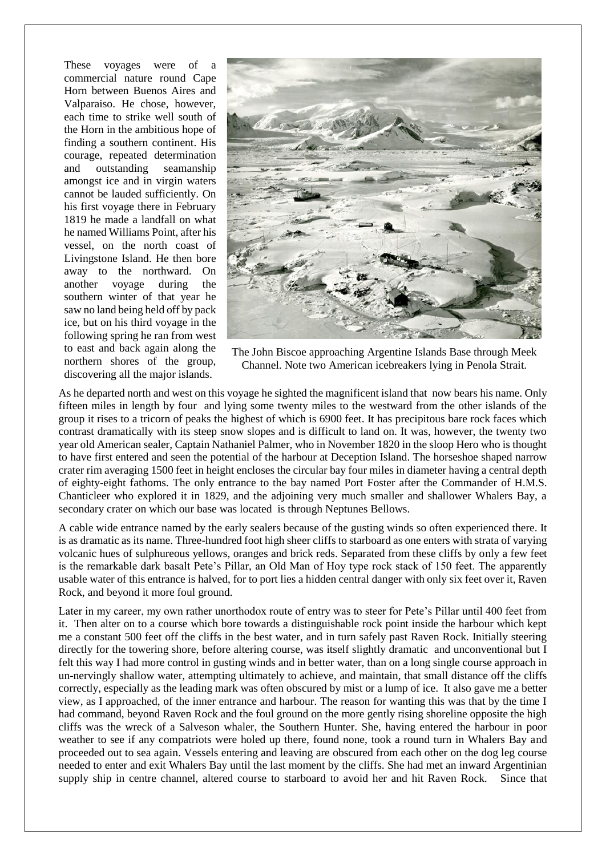These voyages were of a commercial nature round Cape Horn between Buenos Aires and Valparaiso. He chose, however, each time to strike well south of the Horn in the ambitious hope of finding a southern continent. His courage, repeated determination and outstanding seamanship amongst ice and in virgin waters cannot be lauded sufficiently. On his first voyage there in February 1819 he made a landfall on what he named Williams Point, after his vessel, on the north coast of Livingstone Island. He then bore away to the northward. On another voyage during the southern winter of that year he saw no land being held off by pack ice, but on his third voyage in the following spring he ran from west to east and back again along the northern shores of the group, discovering all the major islands.



The John Biscoe approaching Argentine Islands Base through Meek Channel. Note two American icebreakers lying in Penola Strait.

As he departed north and west on this voyage he sighted the magnificent island that now bears his name. Only fifteen miles in length by four and lying some twenty miles to the westward from the other islands of the group it rises to a tricorn of peaks the highest of which is 6900 feet. It has precipitous bare rock faces which contrast dramatically with its steep snow slopes and is difficult to land on. It was, however, the twenty two year old American sealer, Captain Nathaniel Palmer, who in November 1820 in the sloop Hero who is thought to have first entered and seen the potential of the harbour at Deception Island. The horseshoe shaped narrow crater rim averaging 1500 feet in height encloses the circular bay four miles in diameter having a central depth of eighty-eight fathoms. The only entrance to the bay named Port Foster after the Commander of H.M.S. Chanticleer who explored it in 1829, and the adjoining very much smaller and shallower Whalers Bay, a secondary crater on which our base was located is through Neptunes Bellows.

A cable wide entrance named by the early sealers because of the gusting winds so often experienced there. It is as dramatic as its name. Three-hundred foot high sheer cliffs to starboard as one enters with strata of varying volcanic hues of sulphureous yellows, oranges and brick reds. Separated from these cliffs by only a few feet is the remarkable dark basalt Pete's Pillar, an Old Man of Hoy type rock stack of 150 feet. The apparently usable water of this entrance is halved, for to port lies a hidden central danger with only six feet over it, Raven Rock, and beyond it more foul ground.

Later in my career, my own rather unorthodox route of entry was to steer for Pete's Pillar until 400 feet from it. Then alter on to a course which bore towards a distinguishable rock point inside the harbour which kept me a constant 500 feet off the cliffs in the best water, and in turn safely past Raven Rock. Initially steering directly for the towering shore, before altering course, was itself slightly dramatic and unconventional but I felt this way I had more control in gusting winds and in better water, than on a long single course approach in un-nervingly shallow water, attempting ultimately to achieve, and maintain, that small distance off the cliffs correctly, especially as the leading mark was often obscured by mist or a lump of ice. It also gave me a better view, as I approached, of the inner entrance and harbour. The reason for wanting this was that by the time I had command, beyond Raven Rock and the foul ground on the more gently rising shoreline opposite the high cliffs was the wreck of a Salveson whaler, the Southern Hunter. She, having entered the harbour in poor weather to see if any compatriots were holed up there, found none, took a round turn in Whalers Bay and proceeded out to sea again. Vessels entering and leaving are obscured from each other on the dog leg course needed to enter and exit Whalers Bay until the last moment by the cliffs. She had met an inward Argentinian supply ship in centre channel, altered course to starboard to avoid her and hit Raven Rock. Since that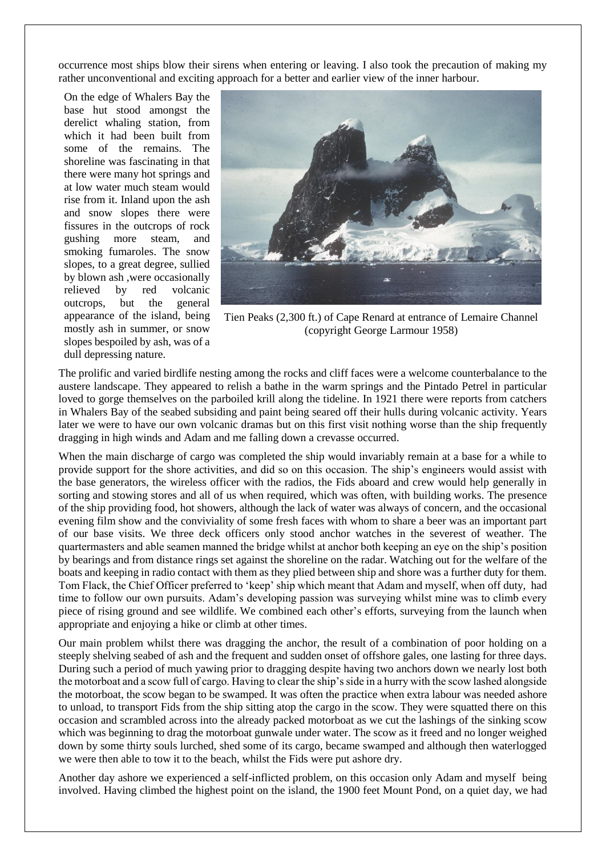occurrence most ships blow their sirens when entering or leaving. I also took the precaution of making my rather unconventional and exciting approach for a better and earlier view of the inner harbour.

On the edge of Whalers Bay the base hut stood amongst the derelict whaling station, from which it had been built from some of the remains. The shoreline was fascinating in that there were many hot springs and at low water much steam would rise from it. Inland upon the ash and snow slopes there were fissures in the outcrops of rock gushing more steam, and smoking fumaroles. The snow slopes, to a great degree, sullied by blown ash ,were occasionally relieved by red volcanic outcrops, but the general appearance of the island, being mostly ash in summer, or snow slopes bespoiled by ash, was of a dull depressing nature.



Tien Peaks (2,300 ft.) of Cape Renard at entrance of Lemaire Channel (copyright George Larmour 1958)

The prolific and varied birdlife nesting among the rocks and cliff faces were a welcome counterbalance to the austere landscape. They appeared to relish a bathe in the warm springs and the Pintado Petrel in particular loved to gorge themselves on the parboiled krill along the tideline. In 1921 there were reports from catchers in Whalers Bay of the seabed subsiding and paint being seared off their hulls during volcanic activity. Years later we were to have our own volcanic dramas but on this first visit nothing worse than the ship frequently dragging in high winds and Adam and me falling down a crevasse occurred.

When the main discharge of cargo was completed the ship would invariably remain at a base for a while to provide support for the shore activities, and did so on this occasion. The ship's engineers would assist with the base generators, the wireless officer with the radios, the Fids aboard and crew would help generally in sorting and stowing stores and all of us when required, which was often, with building works. The presence of the ship providing food, hot showers, although the lack of water was always of concern, and the occasional evening film show and the conviviality of some fresh faces with whom to share a beer was an important part of our base visits. We three deck officers only stood anchor watches in the severest of weather. The quartermasters and able seamen manned the bridge whilst at anchor both keeping an eye on the ship's position by bearings and from distance rings set against the shoreline on the radar. Watching out for the welfare of the boats and keeping in radio contact with them as they plied between ship and shore was a further duty for them. Tom Flack, the Chief Officer preferred to 'keep' ship which meant that Adam and myself, when off duty, had time to follow our own pursuits. Adam's developing passion was surveying whilst mine was to climb every piece of rising ground and see wildlife. We combined each other's efforts, surveying from the launch when appropriate and enjoying a hike or climb at other times.

Our main problem whilst there was dragging the anchor, the result of a combination of poor holding on a steeply shelving seabed of ash and the frequent and sudden onset of offshore gales, one lasting for three days. During such a period of much yawing prior to dragging despite having two anchors down we nearly lost both the motorboat and a scow full of cargo. Having to clear the ship's side in a hurry with the scow lashed alongside the motorboat, the scow began to be swamped. It was often the practice when extra labour was needed ashore to unload, to transport Fids from the ship sitting atop the cargo in the scow. They were squatted there on this occasion and scrambled across into the already packed motorboat as we cut the lashings of the sinking scow which was beginning to drag the motorboat gunwale under water. The scow as it freed and no longer weighed down by some thirty souls lurched, shed some of its cargo, became swamped and although then waterlogged we were then able to tow it to the beach, whilst the Fids were put ashore dry.

Another day ashore we experienced a self-inflicted problem, on this occasion only Adam and myself being involved. Having climbed the highest point on the island, the 1900 feet Mount Pond, on a quiet day, we had